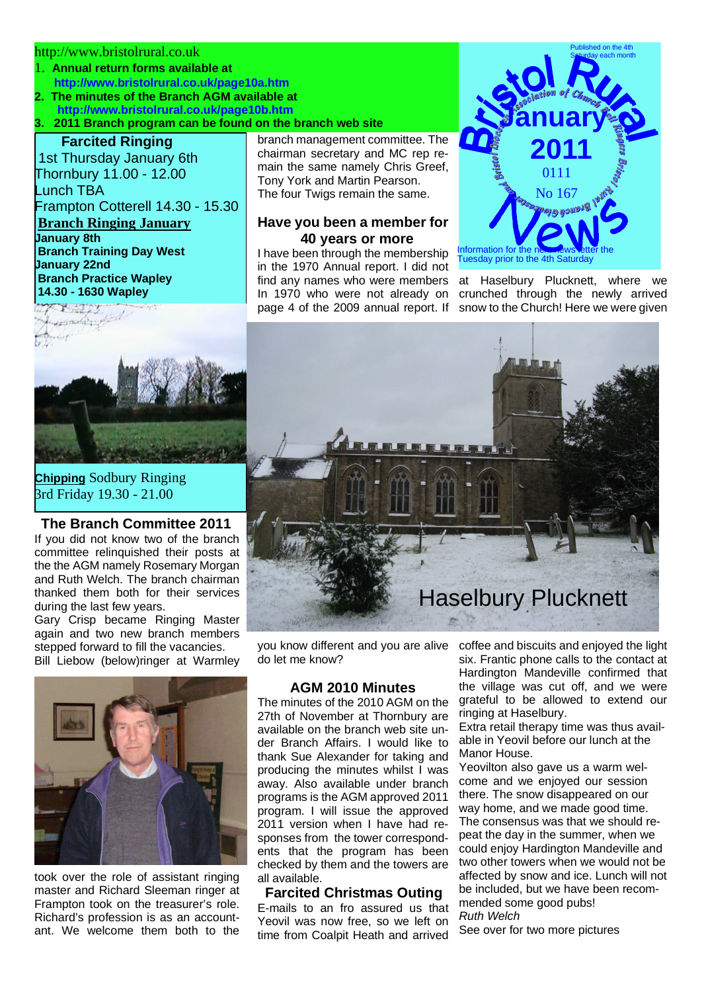### http://www.bristolrural.co.uk

- 1. **Annual return forms available at http://www.bristolrural.co.uk/page10a.htm**
- **2. The minutes of the Branch AGM available at http://www.bristolrural.co.uk/page10b.htm**

## **3. 2011 Branch program can be found on the branch web site**

# **Farcited Ringing**

 1st Thursday January 6th Thornbury 11.00 - 12.00 Lunch TBA Frampton Cotterell 14.30 - 15.30 **Branch Ringing January January 8th Branch Training Day West January 22nd Branch Practice Wapley 14.30 - 1630 Wapley**



**Chipping** Sodbury Ringing 3rd Friday 19.30 - 21.00

#### **The Branch Committee 2011**

If you did not know two of the branch committee relinquished their posts at the the AGM namely Rosemary Morgan and Ruth Welch. The branch chairman thanked them both for their services during the last few years.

Gary Crisp became Ringing Master again and two new branch members stepped forward to fill the vacancies.

Bill Liebow (below)ringer at Warmley



took over the role of assistant ringing master and Richard Sleeman ringer at Frampton took on the treasurer's role. Richard's profession is as an accountant. We welcome them both to the

branch management committee. The chairman secretary and MC rep remain the same namely Chris Greef, Tony York and Martin Pearson. The four Twigs remain the same.

## **Have you been a member for 40 years or more**

I have been through the membership in the 1970 Annual report. I did not find any names who were members In 1970 who were not already on page 4 of the 2009 annual report. If



at Haselbury Plucknett, where we crunched through the newly arrived snow to the Church! Here we were given



you know different and you are alive do let me know?

# **AGM 2010 Minutes**

The minutes of the 2010 AGM on the 27th of November at Thornbury are available on the branch web site under Branch Affairs. I would like to thank Sue Alexander for taking and producing the minutes whilst I was away. Also available under branch programs is the AGM approved 2011 program. I will issue the approved 2011 version when I have had responses from the tower correspondents that the program has been checked by them and the towers are all available.

## **Farcited Christmas Outing**

E-mails to an fro assured us that Yeovil was now free, so we left on time from Coalpit Heath and arrived

coffee and biscuits and enjoyed the light six. Frantic phone calls to the contact at Hardington Mandeville confirmed that the village was cut off, and we were grateful to be allowed to extend our ringing at Haselbury.

Extra retail therapy time was thus available in Yeovil before our lunch at the Manor House.

Yeovilton also gave us a warm welcome and we enjoyed our session there. The snow disappeared on our way home, and we made good time. The consensus was that we should repeat the day in the summer, when we could enjoy Hardington Mandeville and two other towers when we would not be affected by snow and ice. Lunch will not be included, but we have been recommended some good pubs! *Ruth Welch*

See over for two more pictures